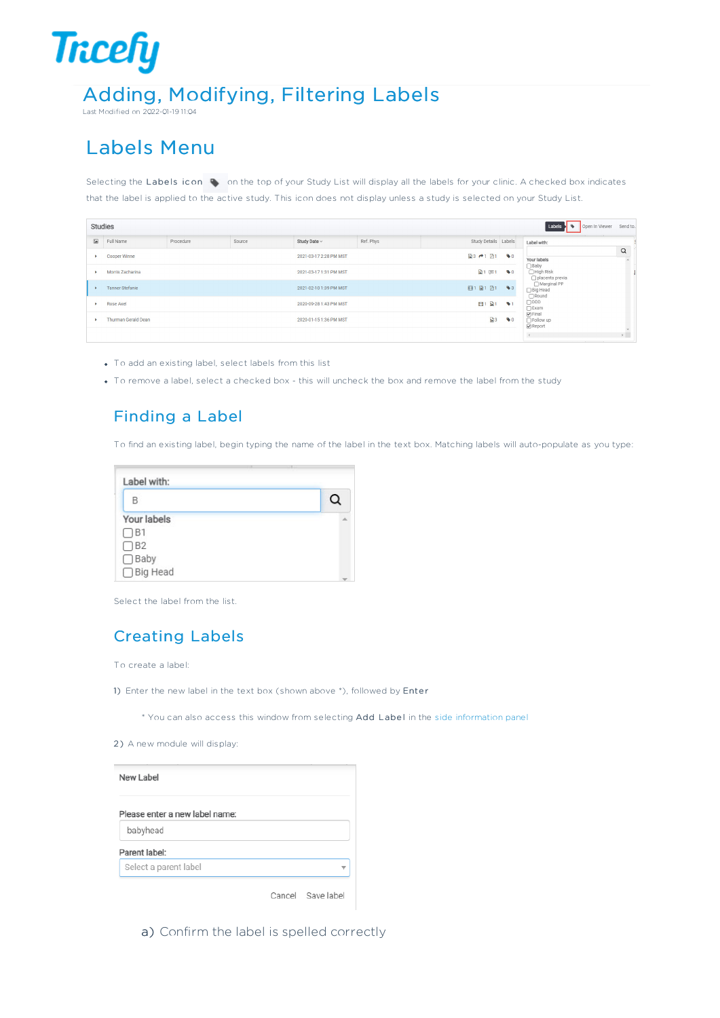# **Tricefy** Adding, Modifying, Filtering Labels

Last Modified on 2022-01-19 11:04

## Labels Menu

Selecting the Labels icon  $\blacklozenge$  on the top of your Study List will display all the labels for your clinic. A checked box indicates that the label is applied to the active study. This icon does not display unless a study is selected on your Study List.

|               | Studies                    |           |        |                        |           |                          |                        | Open In Viewer<br>Labels<br>۰                         | Send to.                       |  |
|---------------|----------------------------|-----------|--------|------------------------|-----------|--------------------------|------------------------|-------------------------------------------------------|--------------------------------|--|
| $\frac{1}{2}$ | Full Name                  | Procedure | Source | Study Date ~           | Ref. Phys | Study Details Labels     |                        | Label with:                                           |                                |  |
|               | Cooper Winne               |           |        | 2021-03-17 2:28 PM MST |           | ■3 户1 图1                 | $\bullet$ <sup>0</sup> | Your labels                                           | $\alpha$                       |  |
|               | Morris Zacharina           |           |        | 2021-03-17 1:31 PM MST |           | $\mathbb{R}$ 1<br>$\Box$ | $\bullet$ <sup>0</sup> | $\Box$ Baby<br>□ High Risk<br>□ placenta previa       |                                |  |
|               | <b>Tanner Stefanie</b>     |           |        | 2021-02-10 1:39 PM MST |           | 田1日1日1                   | $\bullet$ <sub>3</sub> | □ Marginal PP<br>□ Big Head<br>Round                  |                                |  |
|               | Rose Axel                  |           |        | 2020-09-28 1:43 PM MST |           | 日1<br>$\mathbf{B}$ 1     | $\bullet$ 1            | $\Box$ DDD<br>$\bigcap$ Exam                          |                                |  |
|               | <b>Thurman Gerald Dean</b> |           |        | 2020-01-15 1:36 PM MST |           | 23                       | $\bullet$ <sub>0</sub> | $\Theta$ Final<br>$\Box$ Follow up<br><b>⊘</b> Report |                                |  |
|               |                            |           |        |                        |           |                          |                        | $\left\langle \cdot \right\rangle$                    | $\mathbf{v}$<br>$\sim$ $^{-1}$ |  |

- To add an existing label, select labels from this list
- To remove a label, select a checked box this will uncheck the box and remove the label from the study

#### Finding a Label

To find an existing label, begin typing the name of the label in the text box. Matching labels will auto-populate as you type:

| B                     |  |
|-----------------------|--|
| Your labels           |  |
| $\Box$ B1             |  |
| $\Box$ B <sub>2</sub> |  |
| $\Box$ Baby           |  |
| □ Big Head            |  |

Select the label from the list.

#### Creating Labels

To create a label:

1) Enter the new label in the text box (shown above \*), followed by Enter

\* You can also access this window from selecting Add Label in the side information panel

2) A new module will display:

| New Label                      |  |
|--------------------------------|--|
| Please enter a new label name: |  |
| babyhead                       |  |
| Parent label:                  |  |
| Select a parent label          |  |

Cancel Save label

a) Confirm the label is spelled correctly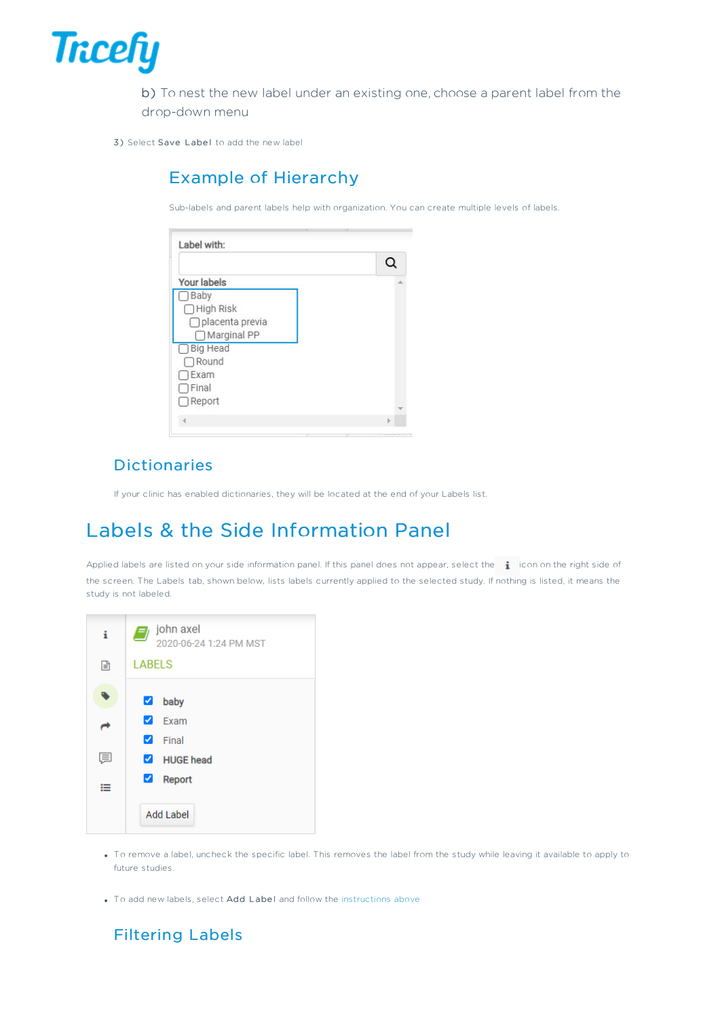

b) To nest the new label under an existing one, choose a parent label from the drop-down menu

3) Select Save Label to add the new label

#### Example of Hierarchy

Sub-labels and parent labels help with organization. You can create multiple levels of labels.

|                   | Q |
|-------------------|---|
| Your labels       |   |
| Baby              |   |
| □ High Risk       |   |
| □ placenta previa |   |
| □ Marginal PP     |   |
| □ Big Head        |   |
| $\bigcap$ Round   |   |
| Exam              |   |
| Final             |   |
| $\Box$ Report     |   |

#### Dictionaries

If your clinic has enabled dictionaries, they will be located at the end of your Labels list.

### Labels & the Side Information Panel

Applied labels are listed on your side information panel. If this panel does not appear, select the  $\cdot$  icon on the right side of the screen. The Labels tab, shown below, lists labels currently applied to the selected study. If nothing is listed, it means the study is not labeled.

| i. | $\Rightarrow$ john axel<br>2020-06-24 1:24 PM MST |
|----|---------------------------------------------------|
| 囼  | <b>LABELS</b>                                     |
|    | $\blacktriangledown$<br>baby                      |
|    | ✓<br>Fxam                                         |
|    | ✓<br>Final                                        |
| 厚  | HUGE head                                         |
| ≔  | ✔<br><b>Report</b>                                |
|    | Add Label                                         |

- To remove a label, uncheck the specific label. This removes the label from the study while leaving it available to apply to future studies.
- To add new labels, select Add Label and follow the instructions above

#### Filtering Labels